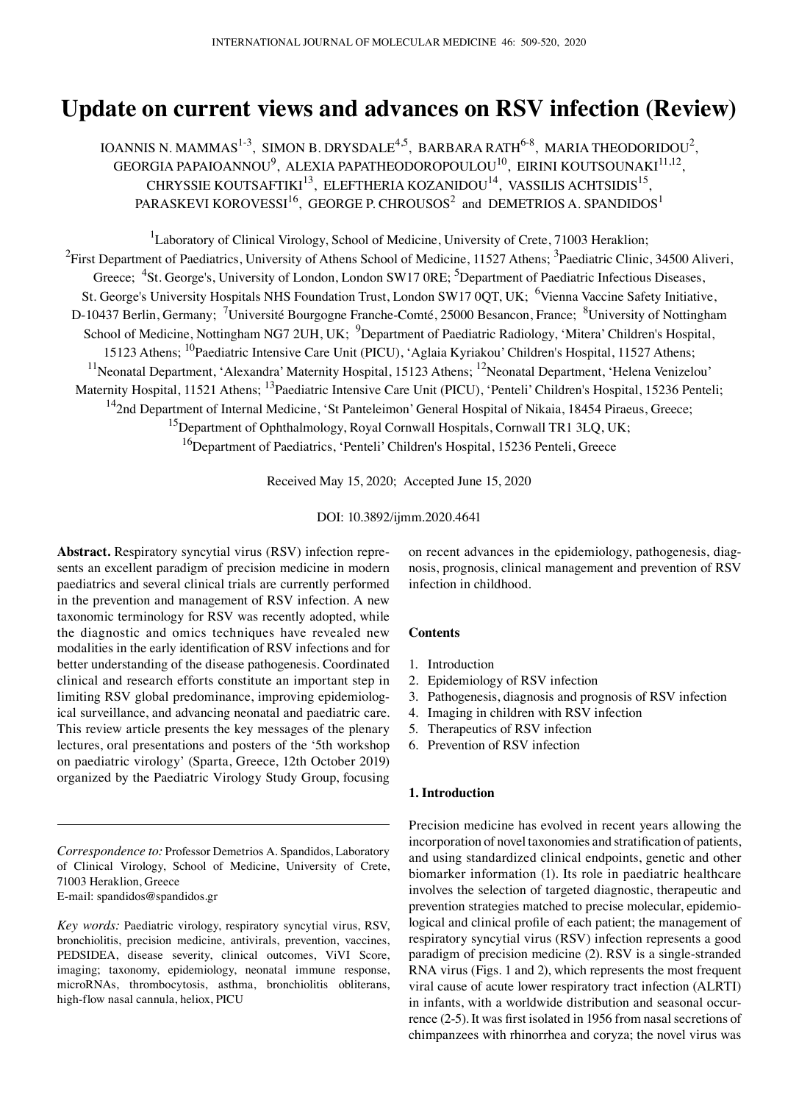# **Update on current views and advances on RSV infection (Review)**

IOANNIS N. MAMMAS $^{1-3}$ , SIMON B. DRYSDALE<sup>4,5</sup>, BARBARA RATH $^{6-8}$ , MARIA THEODORIDOU<sup>2</sup>, GEORGIA PAPAIOANNOU $^9$ , ALEXIA PAPATHEODOROPOULOU $^{10}$ , EIRINI KOUTSOUNAKI $^{11,12}$ , CHRYSSIE KOUTSAFTIKI<sup>13</sup>, ELEFTHERIA KOZANIDOU<sup>14</sup>, VASSILIS ACHTSIDIS<sup>15</sup>, PARASKEVI KOROVESSI $^{16}$ , GEORGE P. CHROUSOS $^{2}$  and DEMETRIOS A. SPANDIDOS $^{1}$ 

<sup>1</sup>Laboratory of Clinical Virology, School of Medicine, University of Crete, 71003 Heraklion;  $^2$ First Department of Paediatrics, University of Athens School of Medicine, 11527 Athens;  $^3$ Paediatric Clinic, 34500 Aliveri, Greece; <sup>4</sup>St. George's, University of London, London SW17 0RE; <sup>5</sup>Department of Paediatric Infectious Diseases, St. George's University Hospitals NHS Foundation Trust, London SW17 0QT, UK; <sup>6</sup>Vienna Vaccine Safety Initiative, D-10437 Berlin, Germany; <sup>7</sup>Université Bourgogne Franche-Comté, 25000 Besancon, France; <sup>8</sup>University of Nottingham School of Medicine, Nottingham NG7 2UH, UK; <sup>9</sup>Department of Paediatric Radiology, 'Mitera' Children's Hospital, 15123 Athens; 10Paediatric Intensive Care Unit (PICU), 'Aglaia Kyriakou' Children's Hospital, 11527 Athens; <sup>11</sup>Neonatal Department, 'Alexandra' Maternity Hospital, 15123 Athens; <sup>12</sup>Neonatal Department, 'Helena Venizelou' Maternity Hospital, 11521 Athens; <sup>13</sup>Paediatric Intensive Care Unit (PICU), 'Penteli' Children's Hospital, 15236 Penteli; <sup>14</sup>2nd Department of Internal Medicine, 'St Panteleimon' General Hospital of Nikaia, 18454 Piraeus, Greece; <sup>15</sup>Department of Ophthalmology, Royal Cornwall Hospitals, Cornwall TR1 3LQ, UK; <sup>16</sup>Department of Paediatrics, 'Penteli' Children's Hospital, 15236 Penteli, Greece

Received May 15, 2020; Accepted June 15, 2020

DOI: 10.3892/ijmm.2020.4641

**Abstract.** Respiratory syncytial virus (RSV) infection represents an excellent paradigm of precision medicine in modern paediatrics and several clinical trials are currently performed in the prevention and management of RSV infection. A new taxonomic terminology for RSV was recently adopted, while the diagnostic and omics techniques have revealed new modalities in the early identification of RSV infections and for better understanding of the disease pathogenesis. Coordinated clinical and research efforts constitute an important step in limiting RSV global predominance, improving epidemiological surveillance, and advancing neonatal and paediatric care. This review article presents the key messages of the plenary lectures, oral presentations and posters of the '5th workshop on paediatric virology' (Sparta, Greece, 12th October 2019) organized by the Paediatric Virology Study Group, focusing

*Correspondence to:* Professor Demetrios A. Spandidos, Laboratory of Clinical Virology, School of Medicine, University of Crete, 71003 Heraklion, Greece E-mail: spandidos@spandidos.gr

*Key words:* Paediatric virology, respiratory syncytial virus, RSV, bronchiolitis, precision medicine, antivirals, prevention, vaccines, PEDSIDEA, disease severity, clinical outcomes, ViVI Score, imaging; taxonomy, epidemiology, neonatal immune response, microRNAs, thrombocytosis, asthma, bronchiolitis obliterans, high-flow nasal cannula, heliox, PICU

on recent advances in the epidemiology, pathogenesis, diagnosis, prognosis, clinical management and prevention of RSV infection in childhood.

## **Contents**

- 1. Introduction
- 2. Epidemiology of RSV infection
- 3. Pathogenesis, diagnosis and prognosis of RSV infection
- 4. Imaging in children with RSV infection
- 5. Therapeutics of RSV infection
- 6. Prevention of RSV infection

#### **1. Introduction**

Precision medicine has evolved in recent years allowing the incorporation of novel taxonomies and stratification of patients, and using standardized clinical endpoints, genetic and other biomarker information (1). Its role in paediatric healthcare involves the selection of targeted diagnostic, therapeutic and prevention strategies matched to precise molecular, epidemiological and clinical profile of each patient; the management of respiratory syncytial virus (RSV) infection represents a good paradigm of precision medicine (2). RSV is a single-stranded RNA virus (Figs. 1 and 2), which represents the most frequent viral cause of acute lower respiratory tract infection (ALRTI) in infants, with a worldwide distribution and seasonal occurrence (2‑5). It was first isolated in 1956 from nasal secretions of chimpanzees with rhinorrhea and coryza; the novel virus was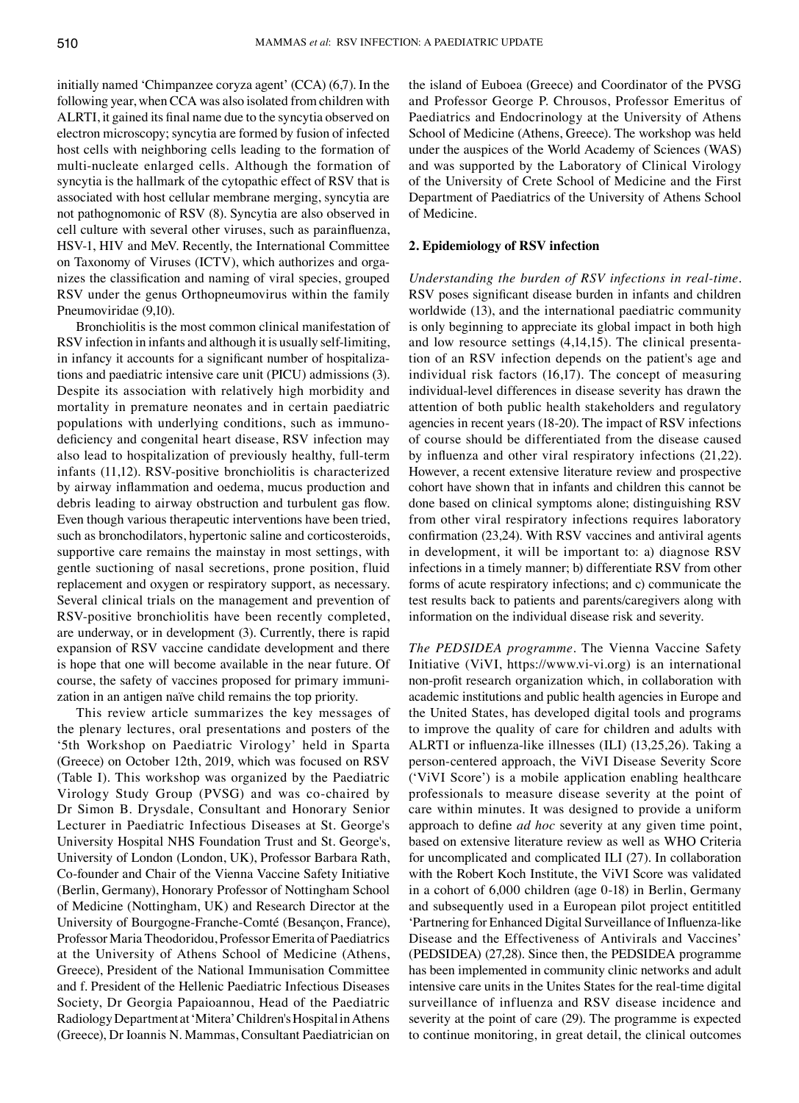initially named 'Chimpanzee coryza agent' (CCA) (6,7). In the following year, when CCA was also isolated from children with ALRTI, it gained its final name due to the syncytia observed on electron microscopy; syncytia are formed by fusion of infected host cells with neighboring cells leading to the formation of multi-nucleate enlarged cells. Although the formation of syncytia is the hallmark of the cytopathic effect of RSV that is associated with host cellular membrane merging, syncytia are not pathognomonic of RSV (8). Syncytia are also observed in cell culture with several other viruses, such as parainfluenza, HSV-1, HIV and MeV. Recently, the International Committee on Taxonomy of Viruses (ICTV), which authorizes and organizes the classification and naming of viral species, grouped RSV under the genus Orthopneumovirus within the family Pneumoviridae (9,10).

Bronchiolitis is the most common clinical manifestation of RSV infection in infants and although it is usually self-limiting, in infancy it accounts for a significant number of hospitalizations and paediatric intensive care unit (PICU) admissions (3). Despite its association with relatively high morbidity and mortality in premature neonates and in certain paediatric populations with underlying conditions, such as immunodeficiency and congenital heart disease, RSV infection may also lead to hospitalization of previously healthy, full-term infants (11,12). RSV-positive bronchiolitis is characterized by airway inflammation and oedema, mucus production and debris leading to airway obstruction and turbulent gas flow. Even though various therapeutic interventions have been tried, such as bronchodilators, hypertonic saline and corticosteroids, supportive care remains the mainstay in most settings, with gentle suctioning of nasal secretions, prone position, fluid replacement and oxygen or respiratory support, as necessary. Several clinical trials on the management and prevention of RSV-positive bronchiolitis have been recently completed, are underway, or in development (3). Currently, there is rapid expansion of RSV vaccine candidate development and there is hope that one will become available in the near future. Of course, the safety of vaccines proposed for primary immunization in an antigen naïve child remains the top priority.

This review article summarizes the key messages of the plenary lectures, oral presentations and posters of the '5th Workshop on Paediatric Virology' held in Sparta (Greece) on October 12th, 2019, which was focused on RSV (Table I). This workshop was organized by the Paediatric Virology Study Group (PVSG) and was co-chaired by Dr Simon B. Drysdale, Consultant and Honorary Senior Lecturer in Paediatric Infectious Diseases at St. George's University Hospital NHS Foundation Trust and St. George's, University of London (London, UK), Professor Barbara Rath, Co-founder and Chair of the Vienna Vaccine Safety Initiative (Berlin, Germany), Honorary Professor of Nottingham School of Medicine (Nottingham, UK) and Research Director at the University of Bourgogne-Franche‑Comté (Besançon, France), Professor Maria Theodoridou, Professor Emerita of Paediatrics at the University of Athens School of Medicine (Athens, Greece), President of the National Immunisation Committee and f. President of the Hellenic Paediatric Infectious Diseases Society, Dr Georgia Papaioannou, Head of the Paediatric Radiology Department at 'Mitera' Children's Hospital in Athens (Greece), Dr Ioannis N. Mammas, Consultant Paediatrician on the island of Euboea (Greece) and Coordinator of the PVSG and Professor George P. Chrousos, Professor Emeritus of Paediatrics and Endocrinology at the University of Athens School of Medicine (Athens, Greece). The workshop was held under the auspices of the World Academy of Sciences (WAS) and was supported by the Laboratory of Clinical Virology of the University of Crete School of Medicine and the First Department of Paediatrics of the University of Athens School of Medicine.

## **2. Epidemiology of RSV infection**

*Understanding the burden of RSV infections in real‑time.*  RSV poses significant disease burden in infants and children worldwide (13), and the international paediatric community is only beginning to appreciate its global impact in both high and low resource settings (4,14,15). The clinical presentation of an RSV infection depends on the patient's age and individual risk factors (16,17). The concept of measuring individual-level differences in disease severity has drawn the attention of both public health stakeholders and regulatory agencies in recent years (18-20). The impact of RSV infections of course should be differentiated from the disease caused by influenza and other viral respiratory infections (21,22). However, a recent extensive literature review and prospective cohort have shown that in infants and children this cannot be done based on clinical symptoms alone; distinguishing RSV from other viral respiratory infections requires laboratory confirmation (23,24). With RSV vaccines and antiviral agents in development, it will be important to: a) diagnose RSV infections in a timely manner; b) differentiate RSV from other forms of acute respiratory infections; and c) communicate the test results back to patients and parents/caregivers along with information on the individual disease risk and severity.

*The PEDSIDEA programme.* The Vienna Vaccine Safety Initiative (ViVI, https://www.vi-vi.org) is an international non‑profit research organization which, in collaboration with academic institutions and public health agencies in Europe and the United States, has developed digital tools and programs to improve the quality of care for children and adults with ALRTI or influenza-like illnesses (ILI) (13,25,26). Taking a person-centered approach, the ViVI Disease Severity Score ('ViVI Score') is a mobile application enabling healthcare professionals to measure disease severity at the point of care within minutes. It was designed to provide a uniform approach to define *ad hoc* severity at any given time point, based on extensive literature review as well as WHO Criteria for uncomplicated and complicated ILI (27). In collaboration with the Robert Koch Institute, the ViVI Score was validated in a cohort of 6,000 children (age 0-18) in Berlin, Germany and subsequently used in a European pilot project entititled 'Partnering for Enhanced Digital Surveillance of Influenza‑like Disease and the Effectiveness of Antivirals and Vaccines' (PEDSIDEA) (27,28). Since then, the PEDSIDEA programme has been implemented in community clinic networks and adult intensive care units in the Unites States for the real-time digital surveillance of influenza and RSV disease incidence and severity at the point of care (29). The programme is expected to continue monitoring, in great detail, the clinical outcomes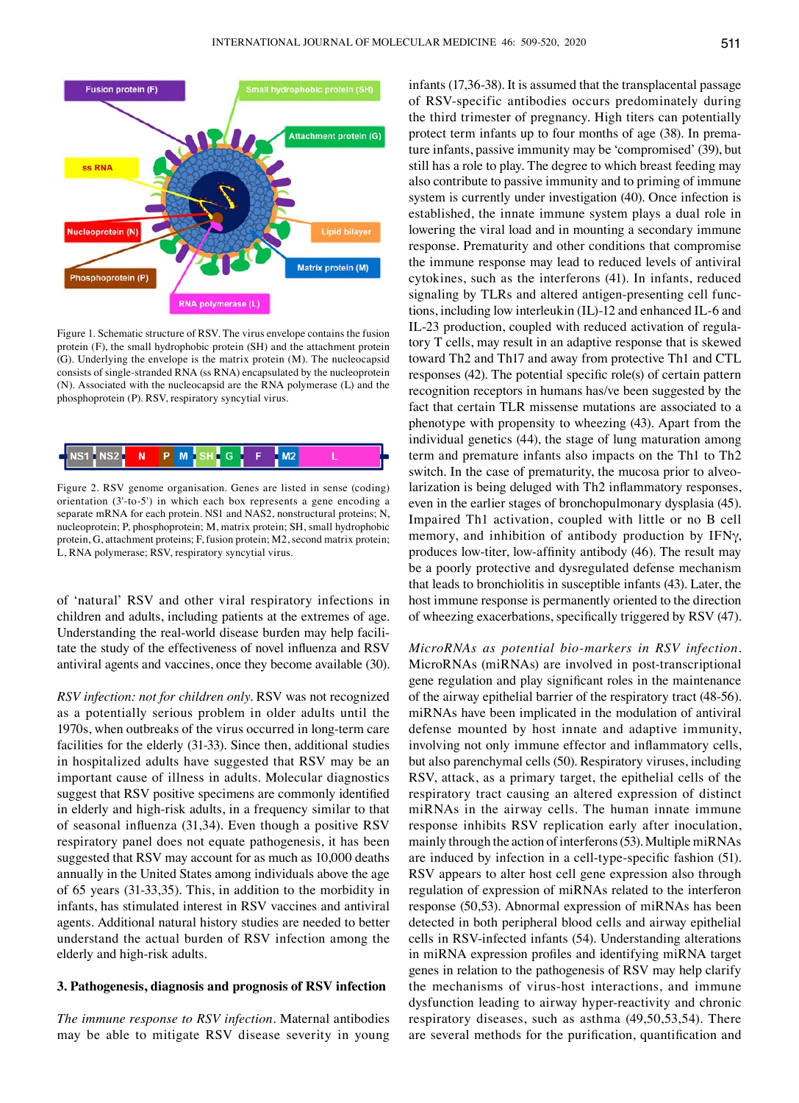

Figure 1. Schematic structure of RSV. The virus envelope contains the fusion protein (F), the small hydrophobic protein (SH) and the attachment protein (G). Underlying the envelope is the matrix protein (M). The nucleocapsid consists of single-stranded RNA (ss RNA) encapsulated by the nucleoprotein (N). Associated with the nucleocapsid are the RNA polymerase (L) and the phosphoprotein (P). RSV, respiratory syncytial virus.



Figure 2. RSV genome organisation. Genes are listed in sense (coding) orientation (3'-to-5') in which each box represents a gene encoding a separate mRNA for each protein. NS1 and NAS2, nonstructural proteins; N, nucleoprotein; P, phosphoprotein; M, matrix protein; SH, small hydrophobic protein, G, attachment proteins; F, fusion protein; M2, second matrix protein; L, RNA polymerase; RSV, respiratory syncytial virus.

of 'natural' RSV and other viral respiratory infections in children and adults, including patients at the extremes of age. Understanding the real-world disease burden may help facilitate the study of the effectiveness of novel influenza and RSV antiviral agents and vaccines, once they become available (30).

*RSV infection: not for children only.* RSV was not recognized as a potentially serious problem in older adults until the 1970s, when outbreaks of the virus occurred in long-term care facilities for the elderly (31-33). Since then, additional studies in hospitalized adults have suggested that RSV may be an important cause of illness in adults. Molecular diagnostics suggest that RSV positive specimens are commonly identified in elderly and high-risk adults, in a frequency similar to that of seasonal influenza (31,34). Even though a positive RSV respiratory panel does not equate pathogenesis, it has been suggested that RSV may account for as much as 10,000 deaths annually in the United States among individuals above the age of 65 years (31-33,35). This, in addition to the morbidity in infants, has stimulated interest in RSV vaccines and antiviral agents. Additional natural history studies are needed to better understand the actual burden of RSV infection among the elderly and high-risk adults.

#### **3. Pathogenesis, diagnosis and prognosis of RSV infection**

*The immune response to RSV infection.* Maternal antibodies may be able to mitigate RSV disease severity in young infants (17,36-38). It is assumed that the transplacental passage of RSV-specific antibodies occurs predominately during the third trimester of pregnancy. High titers can potentially protect term infants up to four months of age (38). In premature infants, passive immunity may be 'compromised' (39), but still has a role to play. The degree to which breast feeding may also contribute to passive immunity and to priming of immune system is currently under investigation (40). Once infection is established, the innate immune system plays a dual role in lowering the viral load and in mounting a secondary immune response. Prematurity and other conditions that compromise the immune response may lead to reduced levels of antiviral cytokines, such as the interferons (41). In infants, reduced signaling by TLRs and altered antigen-presenting cell functions, including low interleukin (IL)-12 and enhanced IL-6 and IL-23 production, coupled with reduced activation of regulatory T cells, may result in an adaptive response that is skewed toward Th2 and Th17 and away from protective Th1 and CTL responses (42). The potential specific role(s) of certain pattern recognition receptors in humans has/ve been suggested by the fact that certain TLR missense mutations are associated to a phenotype with propensity to wheezing (43). Apart from the individual genetics (44), the stage of lung maturation among term and premature infants also impacts on the Th1 to Th2 switch. In the case of prematurity, the mucosa prior to alveolarization is being deluged with Th2 inflammatory responses, even in the earlier stages of bronchopulmonary dysplasia (45). Impaired Th1 activation, coupled with little or no B cell memory, and inhibition of antibody production by IFNγ, produces low‑titer, low‑affinity antibody (46). The result may be a poorly protective and dysregulated defense mechanism that leads to bronchiolitis in susceptible infants (43). Later, the host immune response is permanently oriented to the direction of wheezing exacerbations, specifically triggered by RSV (47).

*MicroRNAs as potential bio‑markers in RSV infection.*  MicroRNAs (miRNAs) are involved in post-transcriptional gene regulation and play significant roles in the maintenance of the airway epithelial barrier of the respiratory tract (48-56). miRNAs have been implicated in the modulation of antiviral defense mounted by host innate and adaptive immunity, involving not only immune effector and inflammatory cells, but also parenchymal cells (50). Respiratory viruses, including RSV, attack, as a primary target, the epithelial cells of the respiratory tract causing an altered expression of distinct miRNAs in the airway cells. The human innate immune response inhibits RSV replication early after inoculation, mainly through the action of interferons(53). Multiple miRNAs are induced by infection in a cell-type-specific fashion (51). RSV appears to alter host cell gene expression also through regulation of expression of miRNAs related to the interferon response (50,53). Abnormal expression of miRNAs has been detected in both peripheral blood cells and airway epithelial cells in RSV-infected infants (54). Understanding alterations in miRNA expression profiles and identifying miRNA target genes in relation to the pathogenesis of RSV may help clarify the mechanisms of virus-host interactions, and immune dysfunction leading to airway hyper-reactivity and chronic respiratory diseases, such as asthma (49,50,53,54). There are several methods for the purification, quantification and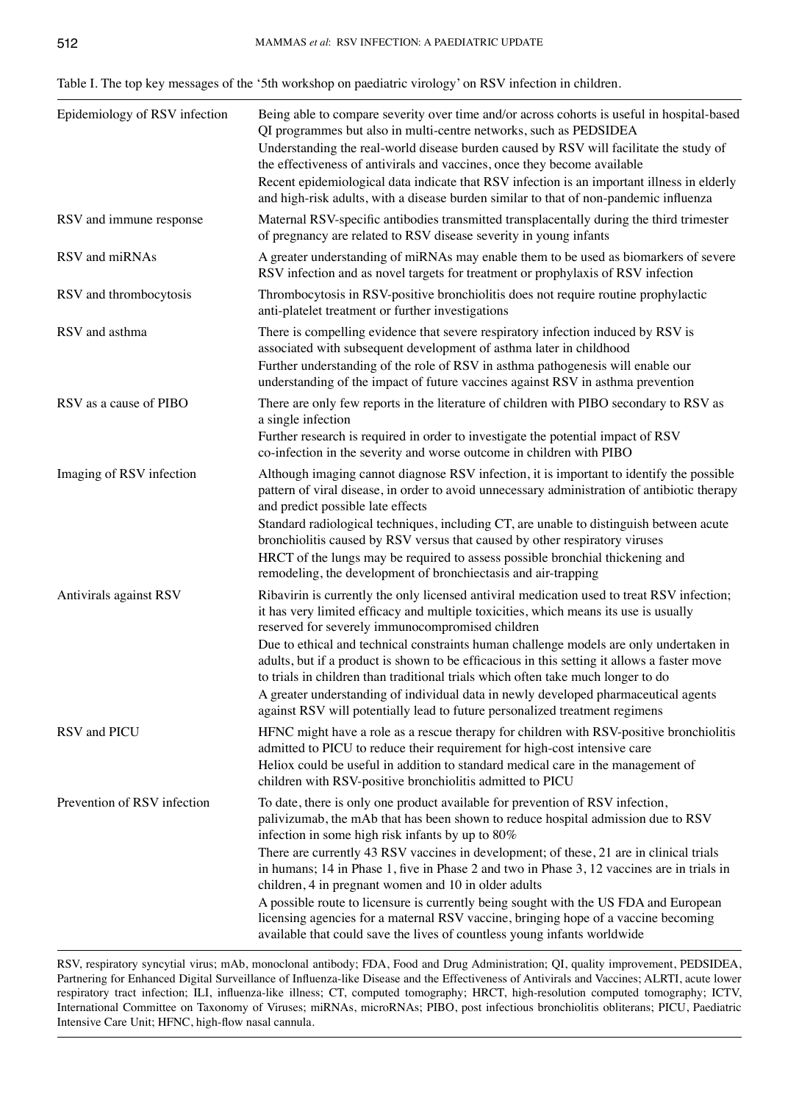| Table I. The top key messages of the '5th workshop on paediatric virology' on RSV infection in children. |  |  |
|----------------------------------------------------------------------------------------------------------|--|--|
|----------------------------------------------------------------------------------------------------------|--|--|

| Epidemiology of RSV infection | Being able to compare severity over time and/or across cohorts is useful in hospital-based<br>QI programmes but also in multi-centre networks, such as PEDSIDEA<br>Understanding the real-world disease burden caused by RSV will facilitate the study of<br>the effectiveness of antivirals and vaccines, once they become available<br>Recent epidemiological data indicate that RSV infection is an important illness in elderly<br>and high-risk adults, with a disease burden similar to that of non-pandemic influenza                                                                                                                                                                                                     |
|-------------------------------|----------------------------------------------------------------------------------------------------------------------------------------------------------------------------------------------------------------------------------------------------------------------------------------------------------------------------------------------------------------------------------------------------------------------------------------------------------------------------------------------------------------------------------------------------------------------------------------------------------------------------------------------------------------------------------------------------------------------------------|
| RSV and immune response       | Maternal RSV-specific antibodies transmitted transplacentally during the third trimester<br>of pregnancy are related to RSV disease severity in young infants                                                                                                                                                                                                                                                                                                                                                                                                                                                                                                                                                                    |
| RSV and miRNAs                | A greater understanding of miRNAs may enable them to be used as biomarkers of severe<br>RSV infection and as novel targets for treatment or prophylaxis of RSV infection                                                                                                                                                                                                                                                                                                                                                                                                                                                                                                                                                         |
| RSV and thrombocytosis        | Thrombocytosis in RSV-positive bronchiolitis does not require routine prophylactic<br>anti-platelet treatment or further investigations                                                                                                                                                                                                                                                                                                                                                                                                                                                                                                                                                                                          |
| RSV and asthma                | There is compelling evidence that severe respiratory infection induced by RSV is<br>associated with subsequent development of asthma later in childhood<br>Further understanding of the role of RSV in asthma pathogenesis will enable our<br>understanding of the impact of future vaccines against RSV in asthma prevention                                                                                                                                                                                                                                                                                                                                                                                                    |
| RSV as a cause of PIBO        | There are only few reports in the literature of children with PIBO secondary to RSV as<br>a single infection<br>Further research is required in order to investigate the potential impact of RSV<br>co-infection in the severity and worse outcome in children with PIBO                                                                                                                                                                                                                                                                                                                                                                                                                                                         |
| Imaging of RSV infection      | Although imaging cannot diagnose RSV infection, it is important to identify the possible<br>pattern of viral disease, in order to avoid unnecessary administration of antibiotic therapy<br>and predict possible late effects<br>Standard radiological techniques, including CT, are unable to distinguish between acute<br>bronchiolitis caused by RSV versus that caused by other respiratory viruses<br>HRCT of the lungs may be required to assess possible bronchial thickening and<br>remodeling, the development of bronchiectasis and air-trapping                                                                                                                                                                       |
| Antivirals against RSV        | Ribavirin is currently the only licensed antiviral medication used to treat RSV infection;<br>it has very limited efficacy and multiple toxicities, which means its use is usually<br>reserved for severely immunocompromised children<br>Due to ethical and technical constraints human challenge models are only undertaken in<br>adults, but if a product is shown to be efficacious in this setting it allows a faster move<br>to trials in children than traditional trials which often take much longer to do<br>A greater understanding of individual data in newly developed pharmaceutical agents<br>against RSV will potentially lead to future personalized treatment regimens                                        |
| RSV and PICU                  | HFNC might have a role as a rescue therapy for children with RSV-positive bronchiolitis<br>admitted to PICU to reduce their requirement for high-cost intensive care<br>Heliox could be useful in addition to standard medical care in the management of<br>children with RSV-positive bronchiolitis admitted to PICU                                                                                                                                                                                                                                                                                                                                                                                                            |
| Prevention of RSV infection   | To date, there is only one product available for prevention of RSV infection,<br>palivizumab, the mAb that has been shown to reduce hospital admission due to RSV<br>infection in some high risk infants by up to 80%<br>There are currently 43 RSV vaccines in development; of these, 21 are in clinical trials<br>in humans; 14 in Phase 1, five in Phase 2 and two in Phase 3, 12 vaccines are in trials in<br>children, 4 in pregnant women and 10 in older adults<br>A possible route to licensure is currently being sought with the US FDA and European<br>licensing agencies for a maternal RSV vaccine, bringing hope of a vaccine becoming<br>available that could save the lives of countless young infants worldwide |

RSV, respiratory syncytial virus; mAb, monoclonal antibody; FDA, Food and Drug Administration; QI, quality improvement, PEDSIDEA, Partnering for Enhanced Digital Surveillance of Influenza-like Disease and the Effectiveness of Antivirals and Vaccines; ALRTI, acute lower respiratory tract infection; ILI, influenza-like illness; CT, computed tomography; HRCT, high-resolution computed tomography; ICTV, International Committee on Taxonomy of Viruses; miRNAs, microRNAs; PIBO, post infectious bronchiolitis obliterans; PICU, Paediatric Intensive Care Unit; HFNC, high-flow nasal cannula.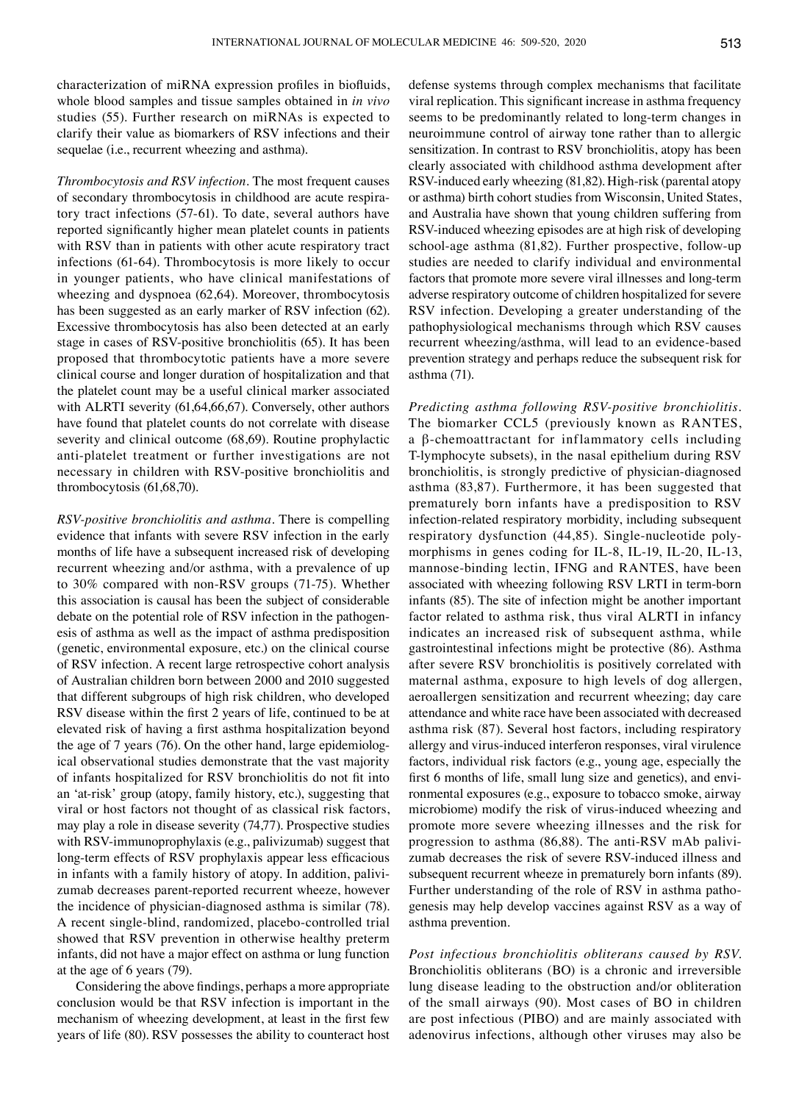characterization of miRNA expression profiles in biofluids, whole blood samples and tissue samples obtained in *in vivo* studies (55). Further research on miRNAs is expected to clarify their value as biomarkers of RSV infections and their sequelae (i.e., recurrent wheezing and asthma).

*Thrombocytosis and RSV infection.* The most frequent causes of secondary thrombocytosis in childhood are acute respiratory tract infections (57-61). To date, several authors have reported significantly higher mean platelet counts in patients with RSV than in patients with other acute respiratory tract infections (61-64). Thrombocytosis is more likely to occur in younger patients, who have clinical manifestations of wheezing and dyspnoea (62,64). Moreover, thrombocytosis has been suggested as an early marker of RSV infection (62). Excessive thrombocytosis has also been detected at an early stage in cases of RSV-positive bronchiolitis (65). It has been proposed that thrombocytotic patients have a more severe clinical course and longer duration of hospitalization and that the platelet count may be a useful clinical marker associated with ALRTI severity (61,64,66,67). Conversely, other authors have found that platelet counts do not correlate with disease severity and clinical outcome (68,69). Routine prophylactic anti-platelet treatment or further investigations are not necessary in children with RSV-positive bronchiolitis and thrombocytosis (61,68,70).

*RSV‑positive bronchiolitis and asthma.* There is compelling evidence that infants with severe RSV infection in the early months of life have a subsequent increased risk of developing recurrent wheezing and/or asthma, with a prevalence of up to 30% compared with non-RSV groups (71-75). Whether this association is causal has been the subject of considerable debate on the potential role of RSV infection in the pathogenesis of asthma as well as the impact of asthma predisposition (genetic, environmental exposure, etc.) on the clinical course of RSV infection. A recent large retrospective cohort analysis of Australian children born between 2000 and 2010 suggested that different subgroups of high risk children, who developed RSV disease within the first 2 years of life, continued to be at elevated risk of having a first asthma hospitalization beyond the age of 7 years (76). On the other hand, large epidemiological observational studies demonstrate that the vast majority of infants hospitalized for RSV bronchiolitis do not fit into an 'at-risk' group (atopy, family history, etc.), suggesting that viral or host factors not thought of as classical risk factors, may play a role in disease severity (74,77). Prospective studies with RSV-immunoprophylaxis (e.g., palivizumab) suggest that long‑term effects of RSV prophylaxis appear less efficacious in infants with a family history of atopy. In addition, palivizumab decreases parent-reported recurrent wheeze, however the incidence of physician-diagnosed asthma is similar (78). A recent single-blind, randomized, placebo-controlled trial showed that RSV prevention in otherwise healthy preterm infants, did not have a major effect on asthma or lung function at the age of 6 years (79).

Considering the above findings, perhaps a more appropriate conclusion would be that RSV infection is important in the mechanism of wheezing development, at least in the first few years of life (80). RSV possesses the ability to counteract host defense systems through complex mechanisms that facilitate viral replication. This significant increase in asthma frequency seems to be predominantly related to long-term changes in neuroimmune control of airway tone rather than to allergic sensitization. In contrast to RSV bronchiolitis, atopy has been clearly associated with childhood asthma development after RSV-induced early wheezing (81,82). High-risk (parental atopy or asthma) birth cohort studies from Wisconsin, United States, and Australia have shown that young children suffering from RSV-induced wheezing episodes are at high risk of developing school-age asthma (81,82). Further prospective, follow-up studies are needed to clarify individual and environmental factors that promote more severe viral illnesses and long-term adverse respiratory outcome of children hospitalized for severe RSV infection. Developing a greater understanding of the pathophysiological mechanisms through which RSV causes recurrent wheezing/asthma, will lead to an evidence-based prevention strategy and perhaps reduce the subsequent risk for asthma (71).

*Predicting asthma following RSV‑positive bronchiolitis.*  The biomarker CCL5 (previously known as RANTES, a β-chemoattractant for inflammatory cells including T-lymphocyte subsets), in the nasal epithelium during RSV bronchiolitis, is strongly predictive of physician-diagnosed asthma (83,87). Furthermore, it has been suggested that prematurely born infants have a predisposition to RSV infection-related respiratory morbidity, including subsequent respiratory dysfunction (44,85). Single-nucleotide polymorphisms in genes coding for IL-8, IL-19, IL-20, IL-13, mannose-binding lectin, IFNG and RANTES, have been associated with wheezing following RSV LRTI in term-born infants (85). The site of infection might be another important factor related to asthma risk, thus viral ALRTI in infancy indicates an increased risk of subsequent asthma, while gastrointestinal infections might be protective (86). Asthma after severe RSV bronchiolitis is positively correlated with maternal asthma, exposure to high levels of dog allergen, aeroallergen sensitization and recurrent wheezing; day care attendance and white race have been associated with decreased asthma risk (87). Several host factors, including respiratory allergy and virus-induced interferon responses, viral virulence factors, individual risk factors (e.g., young age, especially the first 6 months of life, small lung size and genetics), and environmental exposures (e.g., exposure to tobacco smoke, airway microbiome) modify the risk of virus-induced wheezing and promote more severe wheezing illnesses and the risk for progression to asthma (86,88). The anti-RSV mAb palivizumab decreases the risk of severe RSV-induced illness and subsequent recurrent wheeze in prematurely born infants (89). Further understanding of the role of RSV in asthma pathogenesis may help develop vaccines against RSV as a way of asthma prevention.

*Post infectious bronchiolitis obliterans caused by RSV.*  Bronchiolitis obliterans (BO) is a chronic and irreversible lung disease leading to the obstruction and/or obliteration of the small airways (90). Most cases of BO in children are post infectious (PIBO) and are mainly associated with adenovirus infections, although other viruses may also be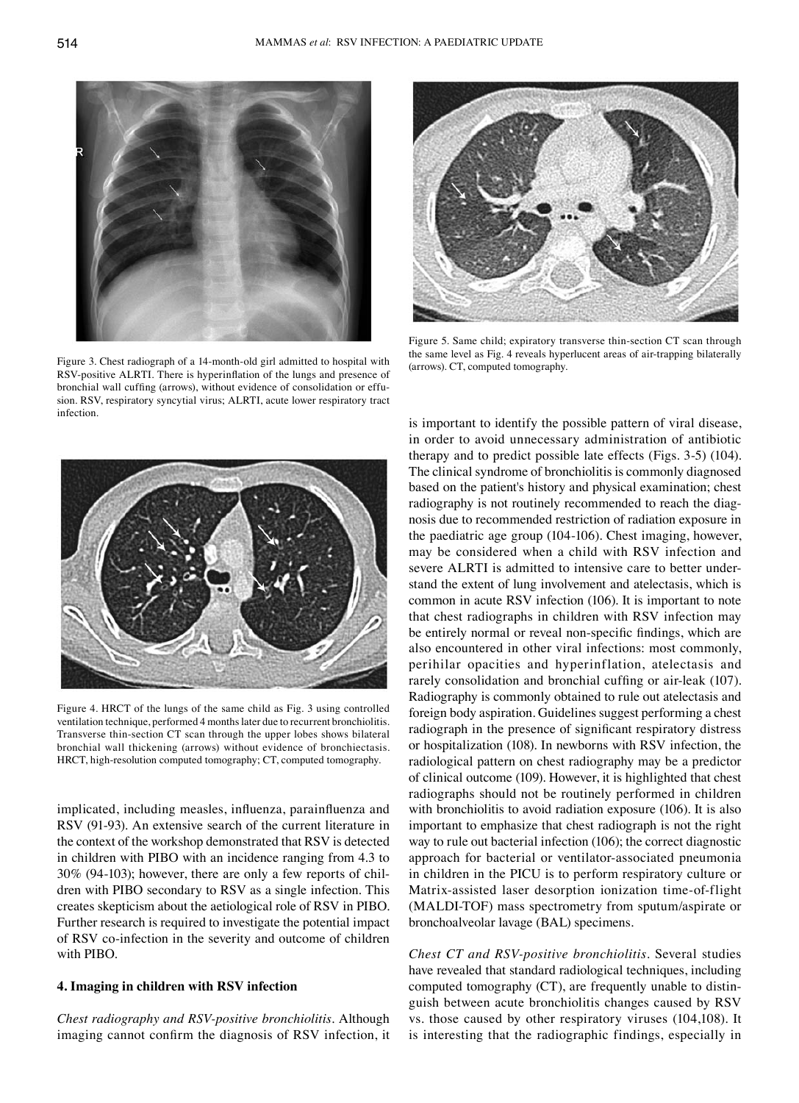

Figure 3. Chest radiograph of a 14-month-old girl admitted to hospital with RSV‑positive ALRTI. There is hyperinflation of the lungs and presence of bronchial wall cuffing (arrows), without evidence of consolidation or effusion. RSV, respiratory syncytial virus; ALRTI, acute lower respiratory tract infection.



Figure 5. Same child; expiratory transverse thin‑section CT scan through the same level as Fig. 4 reveals hyperlucent areas of air-trapping bilaterally (arrows). CT, computed tomography.



Figure 4. HRCT of the lungs of the same child as Fig. 3 using controlled ventilation technique, performed 4 months later due to recurrent bronchiolitis. Transverse thin-section CT scan through the upper lobes shows bilateral bronchial wall thickening (arrows) without evidence of bronchiectasis. HRCT, high-resolution computed tomography; CT, computed tomography.

implicated, including measles, influenza, parainfluenza and RSV (91-93). An extensive search of the current literature in the context of the workshop demonstrated that RSV is detected in children with PIBO with an incidence ranging from 4.3 to 30% (94‑103); however, there are only a few reports of children with PIBO secondary to RSV as a single infection. This creates skepticism about the aetiological role of RSV in PIBO. Further research is required to investigate the potential impact of RSV co-infection in the severity and outcome of children with PIBO.

## **4. Imaging in children with RSV infection**

*Chest radiography and RSV‑positive bronchiolitis.* Although imaging cannot confirm the diagnosis of RSV infection, it is important to identify the possible pattern of viral disease, in order to avoid unnecessary administration of antibiotic therapy and to predict possible late effects (Figs. 3-5) (104). The clinical syndrome of bronchiolitis is commonly diagnosed based on the patient's history and physical examination; chest radiography is not routinely recommended to reach the diagnosis due to recommended restriction of radiation exposure in the paediatric age group (104-106). Chest imaging, however, may be considered when a child with RSV infection and severe ALRTI is admitted to intensive care to better understand the extent of lung involvement and atelectasis, which is common in acute RSV infection (106). It is important to note that chest radiographs in children with RSV infection may be entirely normal or reveal non-specific findings, which are also encountered in other viral infections: most commonly, perihilar opacities and hyperinflation, atelectasis and rarely consolidation and bronchial cuffing or air-leak (107). Radiography is commonly obtained to rule out atelectasis and foreign body aspiration. Guidelines suggest performing a chest radiograph in the presence of significant respiratory distress or hospitalization (108). In newborns with RSV infection, the radiological pattern on chest radiography may be a predictor of clinical outcome (109). However, it is highlighted that chest radiographs should not be routinely performed in children with bronchiolitis to avoid radiation exposure (106). It is also important to emphasize that chest radiograph is not the right way to rule out bacterial infection (106); the correct diagnostic approach for bacterial or ventilator-associated pneumonia in children in the PICU is to perform respiratory culture or Matrix-assisted laser desorption ionization time-of-flight (MALDI-TOF) mass spectrometry from sputum/aspirate or bronchoalveolar lavage (BAL) specimens.

*Chest CT and RSV‑positive bronchiolitis.* Several studies have revealed that standard radiological techniques, including computed tomography (CT), are frequently unable to distinguish between acute bronchiolitis changes caused by RSV vs. those caused by other respiratory viruses (104,108). It is interesting that the radiographic findings, especially in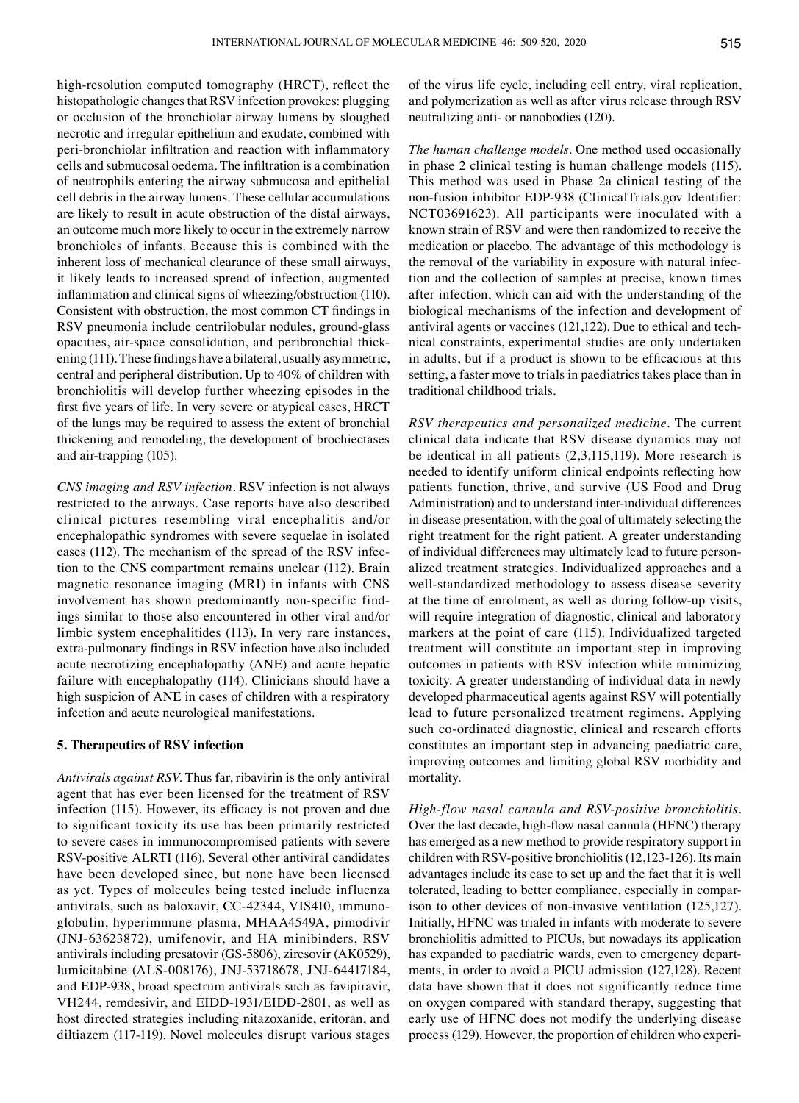high-resolution computed tomography (HRCT), reflect the histopathologic changes that RSV infection provokes: plugging or occlusion of the bronchiolar airway lumens by sloughed necrotic and irregular epithelium and exudate, combined with peri‑bronchiolar infiltration and reaction with inflammatory cells and submucosal oedema. The infiltration is a combination of neutrophils entering the airway submucosa and epithelial cell debris in the airway lumens. These cellular accumulations are likely to result in acute obstruction of the distal airways, an outcome much more likely to occur in the extremely narrow bronchioles of infants. Because this is combined with the inherent loss of mechanical clearance of these small airways, it likely leads to increased spread of infection, augmented inflammation and clinical signs of wheezing/obstruction (110). Consistent with obstruction, the most common CT findings in RSV pneumonia include centrilobular nodules, ground-glass opacities, air-space consolidation, and peribronchial thickening (111). These findings have a bilateral, usually asymmetric, central and peripheral distribution. Up to 40% of children with bronchiolitis will develop further wheezing episodes in the first five years of life. In very severe or atypical cases, HRCT of the lungs may be required to assess the extent of bronchial thickening and remodeling, the development of brochiectases and air-trapping (105).

*CNS imaging and RSV infection.* RSV infection is not always restricted to the airways. Case reports have also described clinical pictures resembling viral encephalitis and/or encephalopathic syndromes with severe sequelae in isolated cases (112). The mechanism of the spread of the RSV infection to the CNS compartment remains unclear (112). Brain magnetic resonance imaging (MRI) in infants with CNS involvement has shown predominantly non-specific findings similar to those also encountered in other viral and/or limbic system encephalitides (113). In very rare instances, extra‑pulmonary findings in RSV infection have also included acute necrotizing encephalopathy (ANE) and acute hepatic failure with encephalopathy (114). Clinicians should have a high suspicion of ANE in cases of children with a respiratory infection and acute neurological manifestations.

## **5. Therapeutics of RSV infection**

*Antivirals against RSV.* Thus far, ribavirin is the only antiviral agent that has ever been licensed for the treatment of RSV infection (115). However, its efficacy is not proven and due to significant toxicity its use has been primarily restricted to severe cases in immunocompromised patients with severe RSV-positive ALRTI (116). Several other antiviral candidates have been developed since, but none have been licensed as yet. Types of molecules being tested include influenza antivirals, such as baloxavir, CC‑42344, VIS410, immunoglobulin, hyperimmune plasma, MHAA4549A, pimodivir (JNJ-63623872), umifenovir, and HA minibinders, RSV antivirals including presatovir (GS-5806), ziresovir (AK0529), lumicitabine (ALS-008176), JNJ-53718678, JNJ-64417184, and EDP-938, broad spectrum antivirals such as favipiravir, VH244, remdesivir, and EIDD‑1931/EIDD‑2801, as well as host directed strategies including nitazoxanide, eritoran, and diltiazem (117-119). Novel molecules disrupt various stages of the virus life cycle, including cell entry, viral replication, and polymerization as well as after virus release through RSV neutralizing anti- or nanobodies (120).

*The human challenge models.* One method used occasionally in phase 2 clinical testing is human challenge models (115). This method was used in Phase 2a clinical testing of the non‑fusion inhibitor EDP‑938 (ClinicalTrials.gov Identifier: NCT03691623). All participants were inoculated with a known strain of RSV and were then randomized to receive the medication or placebo. The advantage of this methodology is the removal of the variability in exposure with natural infection and the collection of samples at precise, known times after infection, which can aid with the understanding of the biological mechanisms of the infection and development of antiviral agents or vaccines (121,122). Due to ethical and technical constraints, experimental studies are only undertaken in adults, but if a product is shown to be efficacious at this setting, a faster move to trials in paediatrics takes place than in traditional childhood trials.

*RSV therapeutics and personalized medicine.* The current clinical data indicate that RSV disease dynamics may not be identical in all patients (2,3,115,119). More research is needed to identify uniform clinical endpoints reflecting how patients function, thrive, and survive (US Food and Drug Administration) and to understand inter-individual differences in disease presentation, with the goal of ultimately selecting the right treatment for the right patient. A greater understanding of individual differences may ultimately lead to future personalized treatment strategies. Individualized approaches and a well-standardized methodology to assess disease severity at the time of enrolment, as well as during follow-up visits, will require integration of diagnostic, clinical and laboratory markers at the point of care (115). Individualized targeted treatment will constitute an important step in improving outcomes in patients with RSV infection while minimizing toxicity. A greater understanding of individual data in newly developed pharmaceutical agents against RSV will potentially lead to future personalized treatment regimens. Applying such co-ordinated diagnostic, clinical and research efforts constitutes an important step in advancing paediatric care, improving outcomes and limiting global RSV morbidity and mortality.

*High‑flow nasal cannula and RSV‑positive bronchiolitis.*  Over the last decade, high‑flow nasal cannula (HFNC) therapy has emerged as a new method to provide respiratory support in children with RSV-positive bronchiolitis(12,123-126). Its main advantages include its ease to set up and the fact that it is well tolerated, leading to better compliance, especially in comparison to other devices of non-invasive ventilation (125,127). Initially, HFNC was trialed in infants with moderate to severe bronchiolitis admitted to PICUs, but nowadays its application has expanded to paediatric wards, even to emergency departments, in order to avoid a PICU admission (127,128). Recent data have shown that it does not significantly reduce time on oxygen compared with standard therapy, suggesting that early use of HFNC does not modify the underlying disease process (129). However, the proportion of children who experi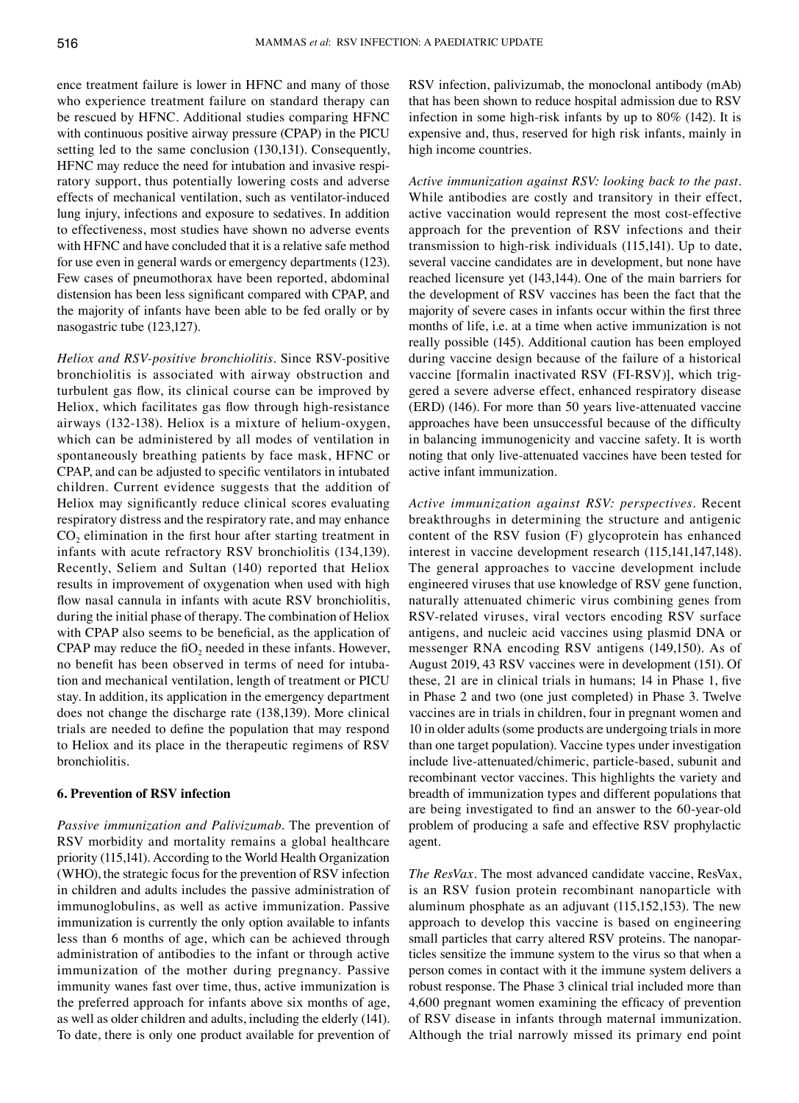ence treatment failure is lower in HFNC and many of those who experience treatment failure on standard therapy can be rescued by HFNC. Additional studies comparing HFNC with continuous positive airway pressure (CPAP) in the PICU setting led to the same conclusion (130,131). Consequently, HFNC may reduce the need for intubation and invasive respiratory support, thus potentially lowering costs and adverse effects of mechanical ventilation, such as ventilator-induced lung injury, infections and exposure to sedatives. In addition to effectiveness, most studies have shown no adverse events with HFNC and have concluded that it is a relative safe method for use even in general wards or emergency departments (123). Few cases of pneumothorax have been reported, abdominal distension has been less significant compared with CPAP, and the majority of infants have been able to be fed orally or by nasogastric tube (123,127).

*Heliox and RSV‑positive bronchiolitis.* Since RSV-positive bronchiolitis is associated with airway obstruction and turbulent gas flow, its clinical course can be improved by Heliox, which facilitates gas flow through high-resistance airways (132-138). Heliox is a mixture of helium-oxygen, which can be administered by all modes of ventilation in spontaneously breathing patients by face mask, HFNC or CPAP, and can be adjusted to specific ventilators in intubated children. Current evidence suggests that the addition of Heliox may significantly reduce clinical scores evaluating respiratory distress and the respiratory rate, and may enhance  $CO<sub>2</sub>$  elimination in the first hour after starting treatment in infants with acute refractory RSV bronchiolitis (134,139). Recently, Seliem and Sultan (140) reported that Heliox results in improvement of oxygenation when used with high flow nasal cannula in infants with acute RSV bronchiolitis, during the initial phase of therapy. The combination of Heliox with CPAP also seems to be beneficial, as the application of CPAP may reduce the  $f_0$  needed in these infants. However, no benefit has been observed in terms of need for intubation and mechanical ventilation, length of treatment or PICU stay. In addition, its application in the emergency department does not change the discharge rate (138,139). More clinical trials are needed to define the population that may respond to Heliox and its place in the therapeutic regimens of RSV bronchiolitis.

#### **6. Prevention of RSV infection**

*Passive immunization and Palivizumab.* The prevention of RSV morbidity and mortality remains a global healthcare priority (115,141). According to the World Health Organization (WHO), the strategic focus for the prevention of RSV infection in children and adults includes the passive administration of immunoglobulins, as well as active immunization. Passive immunization is currently the only option available to infants less than 6 months of age, which can be achieved through administration of antibodies to the infant or through active immunization of the mother during pregnancy. Passive immunity wanes fast over time, thus, active immunization is the preferred approach for infants above six months of age, as well as older children and adults, including the elderly (141). To date, there is only one product available for prevention of RSV infection, palivizumab, the monoclonal antibody (mAb) that has been shown to reduce hospital admission due to RSV infection in some high-risk infants by up to 80% (142). It is expensive and, thus, reserved for high risk infants, mainly in high income countries.

*Active immunization against RSV: looking back to the past.*  While antibodies are costly and transitory in their effect, active vaccination would represent the most cost-effective approach for the prevention of RSV infections and their transmission to high-risk individuals (115,141). Up to date, several vaccine candidates are in development, but none have reached licensure yet (143,144). One of the main barriers for the development of RSV vaccines has been the fact that the majority of severe cases in infants occur within the first three months of life, i.e. at a time when active immunization is not really possible (145). Additional caution has been employed during vaccine design because of the failure of a historical vaccine [formalin inactivated RSV (FI-RSV)], which triggered a severe adverse effect, enhanced respiratory disease (ERD) (146). For more than 50 years live-attenuated vaccine approaches have been unsuccessful because of the difficulty in balancing immunogenicity and vaccine safety. It is worth noting that only live-attenuated vaccines have been tested for active infant immunization.

*Active immunization against RSV: perspectives.* Recent breakthroughs in determining the structure and antigenic content of the RSV fusion (F) glycoprotein has enhanced interest in vaccine development research (115,141,147,148). The general approaches to vaccine development include engineered viruses that use knowledge of RSV gene function, naturally attenuated chimeric virus combining genes from RSV-related viruses, viral vectors encoding RSV surface antigens, and nucleic acid vaccines using plasmid DNA or messenger RNA encoding RSV antigens (149,150). As of August 2019, 43 RSV vaccines were in development (151). Of these, 21 are in clinical trials in humans; 14 in Phase 1, five in Phase 2 and two (one just completed) in Phase 3. Twelve vaccines are in trials in children, four in pregnant women and 10 in older adults (some products are undergoing trials in more than one target population). Vaccine types under investigation include live-attenuated/chimeric, particle-based, subunit and recombinant vector vaccines. This highlights the variety and breadth of immunization types and different populations that are being investigated to find an answer to the 60‑year‑old problem of producing a safe and effective RSV prophylactic agent.

*The ResVax.* The most advanced candidate vaccine, ResVax, is an RSV fusion protein recombinant nanoparticle with aluminum phosphate as an adjuvant (115,152,153). The new approach to develop this vaccine is based on engineering small particles that carry altered RSV proteins. The nanoparticles sensitize the immune system to the virus so that when a person comes in contact with it the immune system delivers a robust response. The Phase 3 clinical trial included more than 4,600 pregnant women examining the efficacy of prevention of RSV disease in infants through maternal immunization. Although the trial narrowly missed its primary end point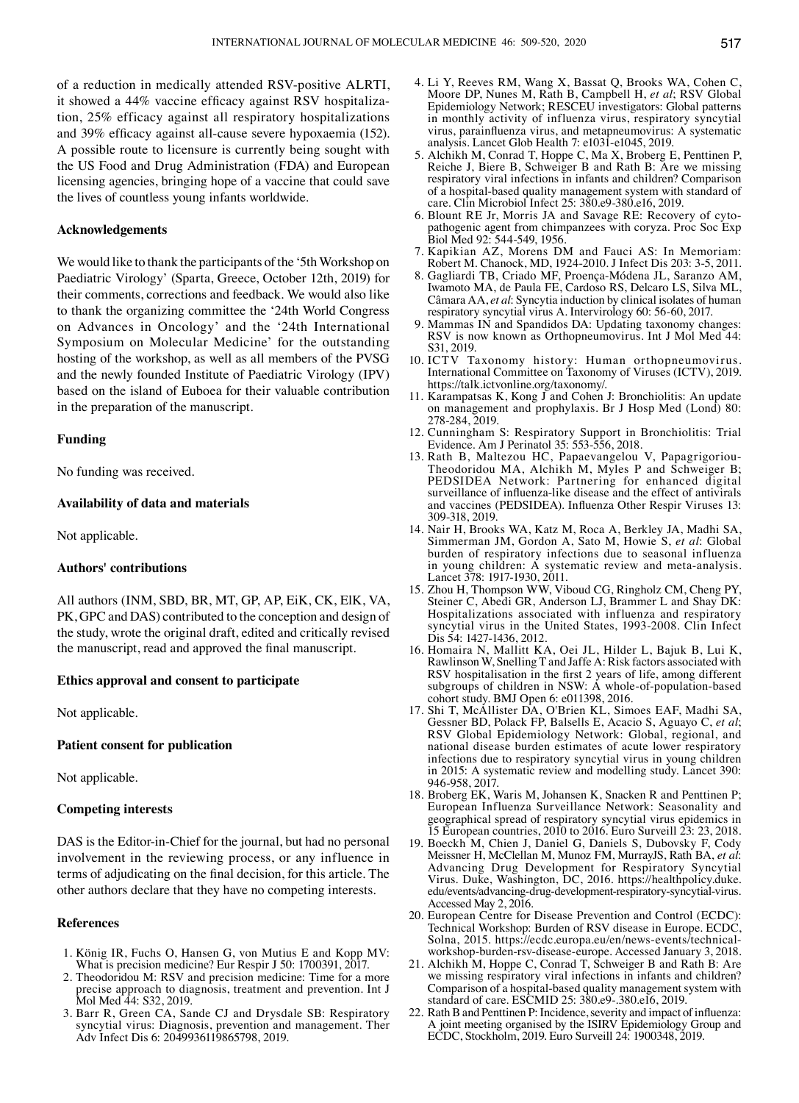of a reduction in medically attended RSV-positive ALRTI, it showed a 44% vaccine efficacy against RSV hospitalization, 25% efficacy against all respiratory hospitalizations and 39% efficacy against all-cause severe hypoxaemia (152). A possible route to licensure is currently being sought with the US Food and Drug Administration (FDA) and European licensing agencies, bringing hope of a vaccine that could save the lives of countless young infants worldwide.

## **Acknowledgements**

We would like to thank the participants of the '5th Workshop on Paediatric Virology' (Sparta, Greece, October 12th, 2019) for their comments, corrections and feedback. We would also like to thank the organizing committee the '24th World Congress on Advances in Oncology' and the '24th International Symposium on Molecular Medicine' for the outstanding hosting of the workshop, as well as all members of the PVSG and the newly founded Institute of Paediatric Virology (IPV) based on the island of Euboea for their valuable contribution in the preparation of the manuscript.

#### **Funding**

No funding was received.

## **Availability of data and materials**

Not applicable.

#### **Authors' contributions**

All authors (INM, SBD, BR, MT, GP, AP, EiK, CK, ElK, VA, PK, GPC and DAS) contributed to the conception and design of the study, wrote the original draft, edited and critically revised the manuscript, read and approved the final manuscript.

#### **Ethics approval and consent to participate**

Not applicable.

## **Patient consent for publication**

Not applicable.

## **Competing interests**

DAS is the Editor-in-Chief for the journal, but had no personal involvement in the reviewing process, or any influence in terms of adjudicating on the final decision, for this article. The other authors declare that they have no competing interests.

#### **References**

- 1. König IR, Fuchs O, Hansen G, von Mutius E and Kopp MV: What is precision medicine? Eur Respir J 50: 1700391, 2017.
- 2. Theodoridou M: RSV and precision medicine: Time for a more precise approach to diagnosis, treatment and prevention. Int J Mol Med 44: S32, 2019.
- 3. Barr R, Green CA, Sande CJ and Drysdale SB: Respiratory syncytial virus: Diagnosis, prevention and management. Ther Adv Infect Dis 6: 2049936119865798, 2019.
- 4. Li Y, Reeves RM, Wang X, Bassat Q, Brooks WA, Cohen C, Moore DP, Nunes M, Rath B, Campbell H, *et al*; RSV Global Epidemiology Network; RESCEU investigators: Global patterns in monthly activity of influenza virus, respiratory syncytial virus, parainfluenza virus, and metapneumovirus: A systematic analysis. Lancet Glob Health 7: e1031-e1045, 2019.
- 5. Alchikh M, Conrad T, Hoppe C, Ma X, Broberg E, Penttinen P, Reiche J, Biere B, Schweiger B and Rath B: Are we missing respiratory viral infections in infants and children? Comparison of a hospital-based quality management system with standard of care. Clin Microbiol Infect 25: 380.e9-380.e16, 2019.
- 6. Blount RE Jr, Morris JA and Savage RE: Recovery of cytopathogenic agent from chimpanzees with coryza. Proc Soc Exp Biol Med 92: 544-549, 1956.
- 7. Kapikian AZ, Morens DM and Fauci AS: In Memoriam: Robert M. Chanock, MD, 1924-2010. J Infect Dis 203: 3-5, 2011.
- 8. Gagliardi TB, Criado MF, Proença-Módena JL, Saranzo AM, Iwamoto MA, de Paula FE, Cardoso RS, Delcaro LS, Silva ML, Câmara AA, *et al*: Syncytia induction by clinical isolates of human respiratory syncytial virus A. Intervirology 60: 56-60, 2017.
- 9. Mammas IN and Spandidos DA: Updating taxonomy changes: RSV is now known as Orthopneumovirus. Int J Mol Med 44: S31, 2019.
- 10. ICTV Taxonomy history: Human orthopneumovirus. International Committee on Taxonomy of Viruses (ICTV), 2019. https://talk.ictvonline.org/taxonomy/.
- 11. Karampatsas K, Kong J and Cohen J: Bronchiolitis: An update on management and prophylaxis. Br J Hosp Med (Lond) 80: 278-284, 2019.
- 12. Cunningham S: Respiratory Support in Bronchiolitis: Trial Evidence. Am J Perinatol 35: 553-556, 2018.
- 13. Rath B, Maltezou HC, Papaevangelou V, Papagrigoriou-Theodoridou MA, Alchikh M, Myles P and Schweiger B; PEDSIDEA Network: Partnering for enhanced digital surveillance of influenza-like disease and the effect of antivirals and vaccines (PEDSIDEA). Influenza Other Respir Viruses 13: 309-318, 2019.
- 14. Nair H, Brooks WA, Katz M, Roca A, Berkley JA, Madhi SA, Simmerman JM, Gordon A, Sato M, Howie S, *et al*: Global burden of respiratory infections due to seasonal influenza in young children: A systematic review and meta-analysis. Lancet 378: 1917-1930, 2011.
- 15. Zhou H, Thompson WW, Viboud CG, Ringholz CM, Cheng PY, Steiner C, Abedi GR, Anderson LJ, Brammer L and Shay DK: Hospitalizations associated with influenza and respiratory syncytial virus in the United States, 1993-2008. Clin Infect Dis 54: 1427-1436, 2012.
- 16. Homaira N, Mallitt KA, Oei JL, Hilder L, Bajuk B, Lui K, Rawlinson W, Snelling T and Jaffe A: Risk factors associated with RSV hospitalisation in the first 2 years of life, among different subgroups of children in NSW: A whole-of-population-based cohort study. BMJ Open 6: e011398, 2016.
- 17. Shi T, McAllister DA, O'Brien KL, Simoes EAF, Madhi SA, Gessner BD, Polack FP, Balsells E, Acacio S, Aguayo C, *et al*; RSV Global Epidemiology Network: Global, regional, and national disease burden estimates of acute lower respiratory infections due to respiratory syncytial virus in young children in 2015: A systematic review and modelling study. Lancet 390: 946-958, 2017.
- 18. Broberg EK, Waris M, Johansen K, Snacken R and Penttinen P; European Influenza Surveillance Network: Seasonality and geographical spread of respiratory syncytial virus epidemics in 15 European countries, 2010 to 2016. Euro Surveill 23: 23, 2018.
- 19. Boeckh M, Chien J, Daniel G, Daniels S, Dubovsky F, Cody Meissner H, McClellan M, Munoz FM, MurrayJS, Rath BA, *et al*: Advancing Drug Development for Respiratory Syncytial Virus. Duke, Washington, DC, 2016. https://healthpolicy.duke. edu/events/advancing-drug-development-respiratory-syncytial-virus. Accessed May 2, 2016.
- 20. European Centre for Disease Prevention and Control (ECDC): Technical Workshop: Burden of RSV disease in Europe. ECDC, Solna, 2015. https://ecdc.europa.eu/en/news-events/technicalworkshop-burden-rsv-disease-europe. Accessed January 3, 2018.
- 21. Alchikh M, Hoppe C, Conrad T, Schweiger B and Rath B: Are we missing respiratory viral infections in infants and children? Comparison of a hospital-based quality management system with standard of care. ESCMID 25: 380.e9-.380.e16, 2019.
- 22. Rath B and Penttinen P: Incidence, severity and impact of influenza: A joint meeting organised by the ISIRV Epidemiology Group and ECDC, Stockholm, 2019. Euro Surveill 24: 1900348, 2019.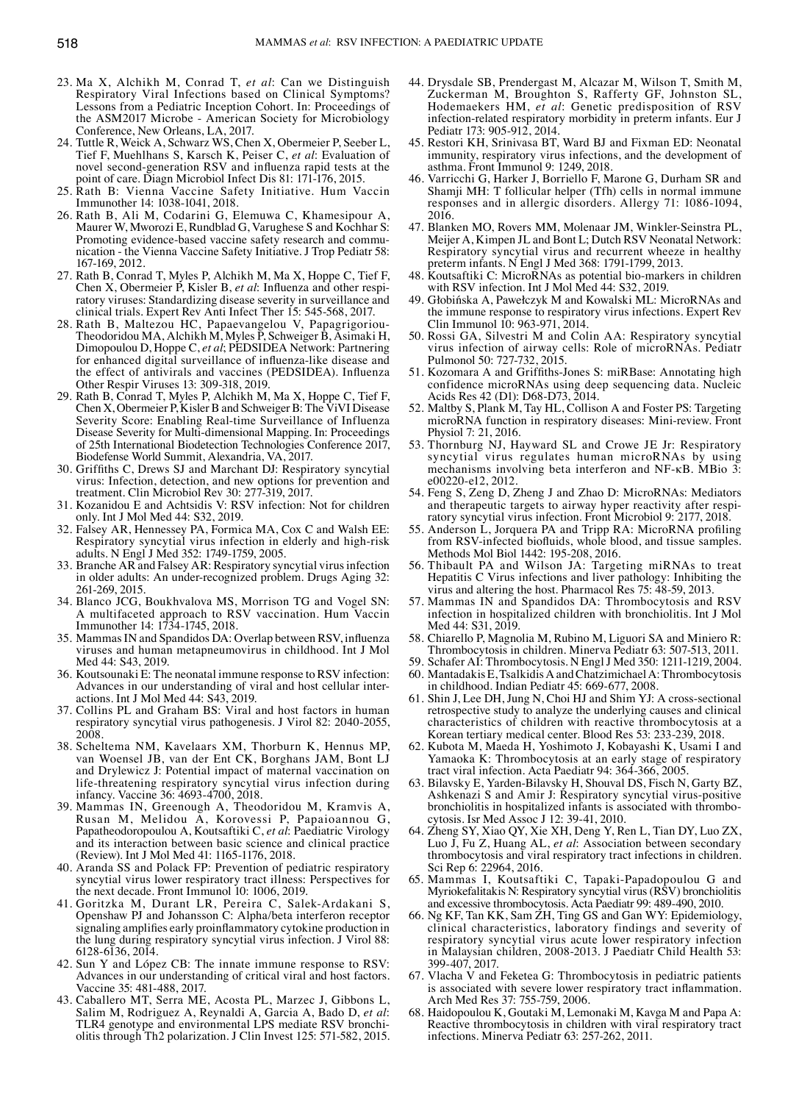- 23. Ma X, Alchikh M, Conrad T, *et al*: Can we Distinguish Respiratory Viral Infections based on Clinical Symptoms? Lessons from a Pediatric Inception Cohort. In: Proceedings of the ASM2017 Microbe - American Society for Microbiology Conference, New Orleans, LA, 2017.
- 24. Tuttle R, Weick A, Schwarz WS, Chen X, Obermeier P, Seeber L, Tief F, Muehlhans S, Karsch K, Peiser C, *et al*: Evaluation of novel second–generation RSV and influenza rapid tests at the point of care. Diagn Microbiol Infect Dis 81: 171-176, 2015.
- 25. Rath B: Vienna Vaccine Safety Initiative. Hum Vaccin Immunother 14: 1038-1041, 2018.
- 26. Rath B, Ali M, Codarini G, Elemuwa C, Khamesipour A, Maurer W, Mworozi E, Rundblad G, Varughese S and Kochhar S: Promoting evidence-based vaccine safety research and communication - the Vienna Vaccine Safety Initiative. J Trop Pediatr 58: 167-169, 2012.
- 27. Rath B, Conrad T, Myles P, Alchikh M, Ma X, Hoppe C, Tief F, Chen X, Obermeier P, Kisler B, *et al*: Influenza and other respiratory viruses: Standardizing disease severity in surveillance and clinical trials. Expert Rev Anti Infect Ther 15: 545-568, 2017.
- 28. Rath B, Maltezou HC, Papaevangelou V, Papagrigoriou-Theodoridou MA, Alchikh M, Myles P, Schweiger B, Asimaki H, Dimopoulou D, Hoppe C, *et al*; PEDSIDEA Network: Partnering for enhanced digital surveillance of influenza-like disease and the effect of antivirals and vaccines (PEDSIDEA). Influenza Other Respir Viruses 13: 309-318, 2019.
- 29. Rath B, Conrad T, Myles P, Alchikh M, Ma X, Hoppe C, Tief F, Chen X, Obermeier P, Kisler B and Schweiger B: The ViVI Disease Severity Score: Enabling Real-time Surveillance of Influenza Disease Severity for Multi-dimensional Mapping. In: Proceedings of 25th International Biodetection Technologies Conference 2017, Biodefense World Summit, Alexandria, VA, 2017.
- 30. Griffiths C, Drews SJ and Marchant DJ: Respiratory syncytial virus: Infection, detection, and new options for prevention and treatment. Clin Microbiol Rev 30: 277-319, 2017.
- 31. Kozanidou E and Achtsidis V: RSV infection: Not for children only. Int J Mol Med 44: S32, 2019.
- 32. Falsey AR, Hennessey PA, Formica MA, Cox C and Walsh EE: Respiratory syncytial virus infection in elderly and high-risk adults. N Engl J Med 352: 1749-1759, 2005.
- 33. Branche AR and Falsey AR: Respiratory syncytial virus infection in older adults: An under-recognized problem. Drugs Aging 32: 261-269, 2015.
- 34. Blanco JCG, Boukhvalova MS, Morrison TG and Vogel SN: A multifaceted approach to RSV vaccination. Hum Vaccin Immunother 14: 1734-1745, 2018.
- 35. Mammas IN and Spandidos DA: Overlap between RSV, influenza viruses and human metapneumovirus in childhood. Int J Mol Med 44: S43, 2019.
- 36. Koutsounaki E: The neonatal immune response to RSV infection: Advances in our understanding of viral and host cellular interactions. Int J Mol Med 44: S43, 2019.
- 37. Collins PL and Graham BS: Viral and host factors in human respiratory syncytial virus pathogenesis. J Virol 82: 2040-2055, 2008.
- 38. Scheltema NM, Kavelaars XM, Thorburn K, Hennus MP, van Woensel JB, van der Ent CK, Borghans JAM, Bont LJ and Drylewicz J: Potential impact of maternal vaccination on life-threatening respiratory syncytial virus infection during infancy. Vaccine 36: 4693-4700, 2018.
- 39. Mammas IN, Greenough A, Theodoridou M, Kramvis A, Rusan M, Melidou A, Korovessi P, Papaioannou G, Papatheodoropoulou A, Koutsaftiki C, *et al*: Paediatric Virology and its interaction between basic science and clinical practice (Review). Int J Mol Med 41: 1165-1176, 2018.
- 40. Aranda SS and Polack FP: Prevention of pediatric respiratory syncytial virus lower respiratory tract illness: Perspectives for the next decade. Front Immunol 10: 1006, 2019.
- 41. Goritzka M, Durant LR, Pereira C, Salek-Ardakani S, Openshaw PJ and Johansson C: Alpha/beta interferon receptor signaling amplifies early proinflammatory cytokine production in the lung during respiratory syncytial virus infection. J Virol 88: 6128-6136, 2014.
- 42. Sun Y and López CB: The innate immune response to RSV: Advances in our understanding of critical viral and host factors. Vaccine 35: 481-488, 2017.
- 43. Caballero MT, Serra ME, Acosta PL, Marzec J, Gibbons L, Salim M, Rodriguez A, Reynaldi A, Garcia A, Bado D, *et al*: TLR4 genotype and environmental LPS mediate RSV bronchiolitis through Th2 polarization. J Clin Invest 125: 571-582, 2015.
- 44. Drysdale SB, Prendergast M, Alcazar M, Wilson T, Smith M, Zuckerman M, Broughton S, Rafferty GF, Johnston SL, Hodemaekers HM, *et al*: Genetic predisposition of RSV infection-related respiratory morbidity in preterm infants. Eur J Pediatr 173: 905-912, 2014.
- 45. Restori KH, Srinivasa BT, Ward BJ and Fixman ED: Neonatal immunity, respiratory virus infections, and the development of asthma. Front Immunol 9: 1249, 2018.
- 46. Varricchi G, Harker J, Borriello F, Marone G, Durham SR and Shamji MH: T follicular helper (Tfh) cells in normal immune responses and in allergic disorders. Allergy 71: 1086-1094, 2016.
- 47. Blanken MO, Rovers MM, Molenaar JM, Winkler-Seinstra PL, Meijer A, Kimpen JL and Bont L; Dutch RSV Neonatal Network: Respiratory syncytial virus and recurrent wheeze in healthy preterm infants. N Engl J Med 368: 1791-1799, 2013.
- 48. Koutsaftiki C: MicroRNAs as potential bio-markers in children with RSV infection. Int J Mol Med 44: S32, 2019.
- 49. Głobińska A, Pawełczyk M and Kowalski ML: MicroRNAs and the immune response to respiratory virus infections. Expert Rev Clin Immunol 10: 963-971, 2014.
- 50. Rossi GA, Silvestri M and Colin AA: Respiratory syncytial virus infection of airway cells: Role of microRNAs. Pediatr Pulmonol 50: 727-732, 2015.
- 51. Kozomara A and Griffiths-Jones S: miRBase: Annotating high confidence microRNAs using deep sequencing data. Nucleic Acids Res 42 (D1): D68‑D73, 2014.
- 52. Maltby S, Plank M, Tay HL, Collison A and Foster PS: Targeting microRNA function in respiratory diseases: Mini-review. Front Physiol 7: 21, 2016.
- 53. Thornburg NJ, Hayward SL and Crowe JE Jr: Respiratory syncytial virus regulates human microRNAs by using mechanisms involving beta interferon and NF-κB. MBio 3: e00220-e12, 2012.
- 54. Feng S, Zeng D, Zheng J and Zhao D: MicroRNAs: Mediators and therapeutic targets to airway hyper reactivity after respiratory syncytial virus infection. Front Microbiol 9: 2177, 2018.
- 55. Anderson L, Jorquera PA and Tripp RA: MicroRNA profiling from RSV-infected biofluids, whole blood, and tissue samples. Methods Mol Biol 1442: 195-208, 2016.
- 56. Thibault PA and Wilson JA: Targeting miRNAs to treat Hepatitis C Virus infections and liver pathology: Inhibiting the virus and altering the host. Pharmacol Res 75: 48-59, 2013.
- 57. Mammas IN and Spandidos DA: Thrombocytosis and RSV infection in hospitalized children with bronchiolitis. Int J Mol Med 44: S31, 2019.
- 58. Chiarello P, Magnolia M, Rubino M, Liguori SA and Miniero R: Thrombocytosis in children. Minerva Pediatr 63: 507-513, 2011.
- 59. Schafer AI: Thrombocytosis. N Engl J Med 350: 1211-1219, 2004. 60. Mantadakis E, Tsalkidis A and Chatzimichael A: Thrombocytosis
- in childhood. Indian Pediatr 45: 669-677, 2008. 61. Shin J, Lee DH, Jung N, Choi HJ and Shim YJ: A cross-sectional retrospective study to analyze the underlying causes and clinical
- characteristics of children with reactive thrombocytosis at a Korean tertiary medical center. Blood Res 53: 233-239, 2018. 62. Kubota M, Maeda H, Yoshimoto J, Kobayashi K, Usami I and Yamaoka K: Thrombocytosis at an early stage of respiratory
- tract viral infection. Acta Paediatr 94: 364-366, 2005. 63. Bilavsky E, Yarden-Bilavsky H, Shouval DS, Fisch N, Garty BZ, Ashkenazi S and Amir J: Respiratory syncytial virus-positive bronchiolitis in hospitalized infants is associated with thrombo- cytosis. Isr Med Assoc J 12: 39-41, 2010.
- 64. Zheng SY, Xiao QY, Xie XH, Deng Y, Ren L, Tian DY, Luo ZX, Luo J, Fu Z, Huang AL, *et al*: Association between secondary thrombocytosis and viral respiratory tract infections in children. Sci Rep 6: 22964, 2016.
- 65. Mammas I, Koutsaftiki C, Tapaki-Papadopoulou G and Myriokefalitakis N: Respiratory syncytial virus (RSV) bronchiolitis and excessive thrombocytosis. Acta Paediatr 99: 489-490, 2010.
- 66. Ng KF, Tan KK, Sam ZH, Ting GS and Gan WY: Epidemiology, clinical characteristics, laboratory findings and severity of respiratory syncytial virus acute lower respiratory infection in Malaysian children, 2008-2013. J Paediatr Child Health 53: 399-407, 2017.
- 67. Vlacha V and Feketea G: Thrombocytosis in pediatric patients is associated with severe lower respiratory tract inflammation. Arch Med Res 37: 755-759, 2006.
- 68. Haidopoulou K, Goutaki M, Lemonaki M, Kavga M and Papa A: Reactive thrombocytosis in children with viral respiratory tract infections. Minerva Pediatr 63: 257-262, 2011.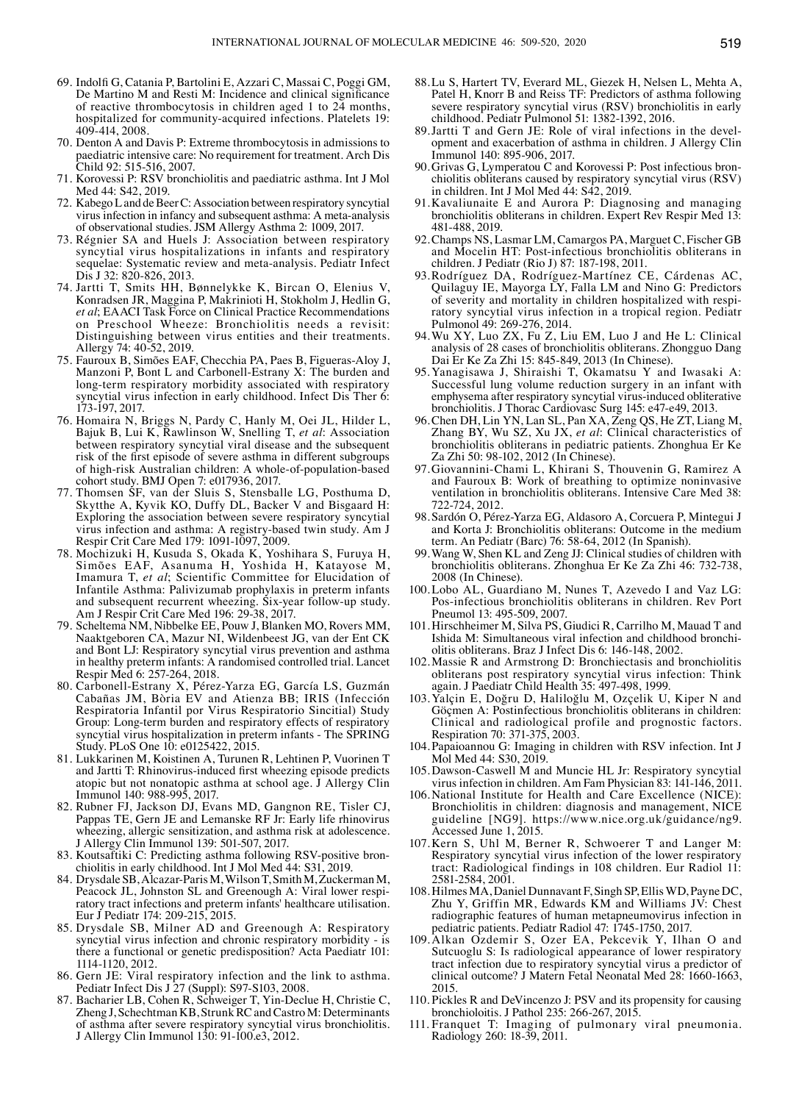- 69. Indolfi G, Catania P, Bartolini E, Azzari C, Massai C, Poggi GM, De Martino M and Resti M: Incidence and clinical significance of reactive thrombocytosis in children aged 1 to  $24$  months, hospitalized for community-acquired infections. Platelets 19: 409-414, 2008.
- 70. Denton A and Davis P: Extreme thrombocytosis in admissions to paediatric intensive care: No requirement for treatment. Arch Dis Child 92: 515-516, 2007.
- 71. Korovessi P: RSV bronchiolitis and paediatric asthma. Int J Mol Med 44: S42, 2019.
- 72. Kabego L and de Beer C: Association between respiratory syncytial virus infection in infancy and subsequent asthma: A meta-analysis of observational studies. JSM Allergy Asthma 2: 1009, 2017.
- 73. Régnier SA and Huels J: Association between respiratory syncytial virus hospitalizations in infants and respiratory sequelae: Systematic review and meta-analysis. Pediatr Infect Dis J 32: 820-826, 2013.
- 74. Jartti T, Smits HH, Bønnelykke K, Bircan O, Elenius V, Konradsen JR, Maggina P, Makrinioti H, Stokholm J, Hedlin G, *et al*; EAACI Task Force on Clinical Practice Recommendations on Preschool Wheeze: Bronchiolitis needs a revisit: Distinguishing between virus entities and their treatments. Allergy 74: 40-52, 2019.
- 75. Fauroux B, Simões EAF, Checchia PA, Paes B, Figueras-Aloy J, Manzoni P, Bont L and Carbonell-Estrany X: The burden and long-term respiratory morbidity associated with respiratory syncytial virus infection in early childhood. Infect Dis Ther 6: 173-197, 2017.
- 76. Homaira N, Briggs N, Pardy C, Hanly M, Oei JL, Hilder L, Bajuk B, Lui K, Rawlinson W, Snelling T, *et al*: Association between respiratory syncytial viral disease and the subsequent risk of the first episode of severe asthma in different subgroups of high-risk Australian children: A whole-of-population-based cohort study. BMJ Open 7: e017936, 2017.
- 77. Thomsen SF, van der Sluis S, Stensballe LG, Posthuma D, Skytthe A, Kyvik KO, Duffy DL, Backer V and Bisgaard H: Exploring the association between severe respiratory syncytial virus infection and asthma: A registry-based twin study. Am J Respir Crit Care Med 179: 1091-1097, 2009.
- 78. Mochizuki H, Kusuda S, Okada K, Yoshihara S, Furuya H, Simões EAF, Asanuma H, Yoshida H, Katayose M, Imamura T, *et al*; Scientific Committee for Elucidation of Infantile Asthma: Palivizumab prophylaxis in preterm infants and subsequent recurrent wheezing. Six-year follow-up study. Am J Respir Crit Care Med 196: 29-38, 2017.
- 79. Scheltema NM, Nibbelke EE, Pouw J, Blanken MO, Rovers MM, Naaktgeboren CA, Mazur NI, Wildenbeest JG, van der Ent CK and Bont LJ: Respiratory syncytial virus prevention and asthma in healthy preterm infants: A randomised controlled trial. Lancet Respir Med 6: 257-264, 2018.
- 80. Carbonell-Estrany X, Pérez-Yarza EG, García LS, Guzmán Cabañas JM, Bòria EV and Atienza BB; IRIS (Infección Respiratoria Infantil por Virus Respiratorio Sincitial) Study Group: Long-term burden and respiratory effects of respiratory syncytial virus hospitalization in preterm infants - The SPRING Study. PLoS One 10: e0125422, 2015.
- 81. Lukkarinen M, Koistinen A, Turunen R, Lehtinen P, Vuorinen T and Jartti T: Rhinovirus‑induced first wheezing episode predicts atopic but not nonatopic asthma at school age. J Allergy Clin Immunol 140: 988-995, 2017.
- 82. Rubner FJ, Jackson DJ, Evans MD, Gangnon RE, Tisler CJ, Pappas TE, Gern JE and Lemanske RF Jr: Early life rhinovirus wheezing, allergic sensitization, and asthma risk at adolescence. J Allergy Clin Immunol 139: 501-507, 2017.
- 83. Koutsaftiki C: Predicting asthma following RSV-positive bron- chiolitis in early childhood. Int J Mol Med 44: S31, 2019.
- 84. Drysdale SB, Alcazar-Paris M, Wilson T, Smith M, ZuckermanM, Peacock JL, Johnston SL and Greenough A: Viral lower respi- ratory tract infections and preterm infants' healthcare utilisation. Eur J Pediatr 174: 209-215, 2015.
- 85. Drysdale SB, Milner AD and Greenough A: Respiratory syncytial virus infection and chronic respiratory morbidity - is there a functional or genetic predisposition? Acta Paediatr 101: 1114-1120, 2012.
- 86. Gern JE: Viral respiratory infection and the link to asthma. Pediatr Infect Dis J 27 (Suppl): S97-S103, 2008.
- 87. Bacharier LB, Cohen R, Schweiger T, Yin‑Declue H, Christie C, Zheng J, Schechtman KB, Strunk RC and Castro M: Determinants of asthma after severe respiratory syncytial virus bronchiolitis. J Allergy Clin Immunol 130: 91-100.e3, 2012.
- 88.Lu S, Hartert TV, Everard ML, Giezek H, Nelsen L, Mehta A, Patel H, Knorr B and Reiss TF: Predictors of asthma following severe respiratory syncytial virus (RSV) bronchiolitis in early childhood. Pediatr Pulmonol 51: 1382-1392, 2016.
- 89.Jartti T and Gern JE: Role of viral infections in the development and exacerbation of asthma in children. J Allergy Clin Immunol 140: 895-906, 2017.
- 90.Grivas G, Lymperatou C and Korovessi P: Post infectious bronchiolitis obliterans caused by respiratory syncytial virus (RSV) in children. Int J Mol Med  $44: S42, 2019$ .
- 91.Kavaliunaite E and Aurora P: Diagnosing and managing bronchiolitis obliterans in children. Expert Rev Respir Med 13: 481-488, 2019.
- 92.Champs NS, Lasmar LM, Camargos PA, Marguet C, Fischer GB and Mocelin HT: Post-infectious bronchiolitis obliterans in children. J Pediatr (Rio J) 87: 187-198, 2011.
- 93.Rodríguez DA, Rodríguez-Martínez CE, Cárdenas AC, Quilaguy IE, Mayorga LY, Falla LM and Nino G: Predictors of severity and mortality in children hospitalized with respiratory syncytial virus infection in a tropical region. Pediatr Pulmonol 49: 269-276, 2014.
- 94.Wu XY, Luo ZX, Fu Z, Liu EM, Luo J and He L: Clinical analysis of 28 cases of bronchiolitis obliterans. Zhongguo Dang Dai Er Ke Za Zhi 15: 845-849, 2013 (In Chinese).
- 95. Yanagisawa J, Shiraishi T, Okamatsu Y and Iwasaki A: Successful lung volume reduction surgery in an infant with emphysema after respiratory syncytial virus-induced obliterative bronchiolitis. J Thorac Cardiovasc Surg 145: e47-e49, 2013.
- 96.Chen DH, Lin YN, Lan SL, Pan XA, Zeng QS, He ZT, Liang M, Zhang BY, Wu SZ, Xu JX, *et al*: Clinical characteristics of bronchiolitis obliterans in pediatric patients. Zhonghua Er Ke Za Zhi 50: 98-102, 2012 (In Chinese).
- 97.Giovannini‑Chami L, Khirani S, Thouvenin G, Ramirez A and Fauroux B: Work of breathing to optimize noninvasive ventilation in bronchiolitis obliterans. Intensive Care Med 38: 722-724, 2012.
- 98. Sardón O, Pérez-Yarza EG, Aldasoro A, Corcuera P, Mintegui J and Korta J: Bronchiolitis obliterans: Outcome in the medium term. An Pediatr (Barc) 76: 58-64, 2012 (In Spanish).
- 99.Wang W, Shen KL and Zeng JJ: Clinical studies of children with bronchiolitis obliterans. Zhonghua Er Ke Za Zhi 46: 732-738, 2008 (In Chinese).
- 100.Lobo AL, Guardiano M, Nunes T, Azevedo I and Vaz LG: Pos-infectious bronchiolitis obliterans in children. Rev Port Pneumol 13: 495-509, 2007.
- 101.Hirschheimer M, Silva PS, Giudici R, Carrilho M, Mauad T and Ishida M: Simultaneous viral infection and childhood bronchiolitis obliterans. Braz J Infect Dis 6: 146-148, 2002.
- 102.Massie R and Armstrong D: Bronchiectasis and bronchiolitis obliterans post respiratory syncytial virus infection: Think again. J Paediatr Child Health 35: 497-498, 1999.
- 103.Yalçin E, Doğru D, Haliloğlu M, Ozçelik U, Kiper N and Göçmen A: Postinfectious bronchiolitis obliterans in children: Clinical and radiological profile and prognostic factors. Respiration 70: 371-375, 2003.
- 104. Papaioannou G: Imaging in children with RSV infection. Int J Mol Med 44: S30, 2019.
- 105.Dawson‑Caswell M and Muncie HL Jr: Respiratory syncytial virus infection in children. Am Fam Physician 83: 141-146, 2011.
- 106.National Institute for Health and Care Excellence (NICE): Bronchiolitis in children: diagnosis and management, NICE guideline [NG9]. https://www.nice.org.uk/guidance/ng9. Accessed June 1, 2015.
- 107.Kern S, Uhl M, Berner R, Schwoerer T and Langer M: Respiratory syncytial virus infection of the lower respiratory tract: Radiological findings in 108 children. Eur Radiol 11: 2581-2584, 2001.
- 108.Hilmes MA, Daniel Dunnavant F, Singh SP, Ellis WD, Payne DC, Zhu Y, Griffin MR, Edwards KM and Williams JV: Chest radiographic features of human metapneumovirus infection in pediatric patients. Pediatr Radiol 47: 1745-1750, 2017.
- 109.Alkan Ozdemir S, Ozer EA, Pekcevik Y, Ilhan O and Sutcuoglu S: Is radiological appearance of lower respiratory tract infection due to respiratory syncytial virus a predictor of clinical outcome? J Matern Fetal Neonatal Med 28: 1660-1663, 2015.
- 110. Pickles R and DeVincenzo J: PSV and its propensity for causing bronchioloitis. J Pathol 235: 266-267, 2015.
- 111. Franquet T: Imaging of pulmonary viral pneumonia. Radiology 260: 18-39, 2011.